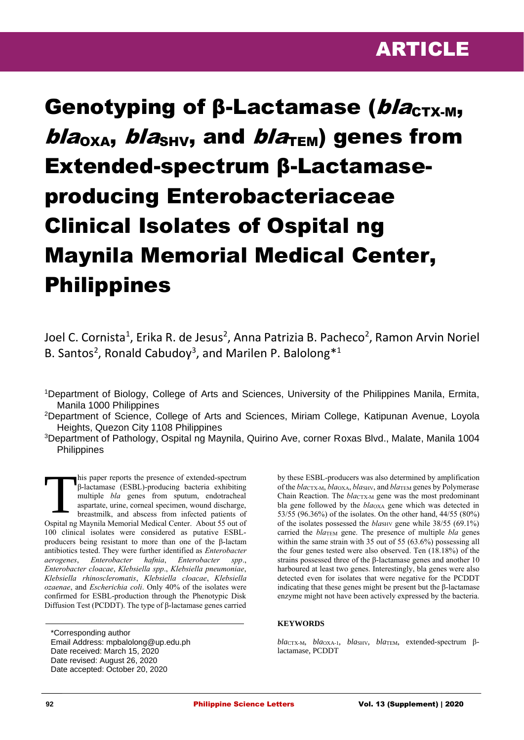

# Genotyping of β-Lactamase (blacTX-M,  $b/a<sub>OXA</sub>$ ,  $b/a<sub>SHV</sub>$ , and  $b/a<sub>TEM</sub>$ ) genes from Extended-spectrum β-Lactamaseproducing Enterobacteriaceae Clinical Isolates of Ospital ng Maynila Memorial Medical Center, Philippines

Joel C. Cornista<sup>1</sup>, Erika R. de Jesus<sup>2</sup>, Anna Patrizia B. Pacheco<sup>2</sup>, Ramon Arvin Noriel B. Santos<sup>2</sup>, Ronald Cabudoy<sup>3</sup>, and Marilen P. Balolong<sup>\*1</sup>

<sup>2</sup>Department of Science, College of Arts and Sciences, Miriam College, Katipunan Avenue, Loyola Heights, Quezon City 1108 Philippines

<sup>3</sup>Department of Pathology, Ospital ng Maynila, Quirino Ave, corner Roxas Blvd., Malate, Manila 1004 **Philippines** 

his paper reports the presence of extended-spectrum β-lactamase (ESBL)-producing bacteria exhibiting multiple *bla* genes from sputum, endotracheal aspartate, urine, corneal specimen, wound discharge, breastmilk, and abscess from infected patients of Ospital ng Maynila Memorial Medical Center. About 55 out of 100 clinical isolates were considered as putative ESBLproducers being resistant to more than one of the β-lactam antibiotics tested. They were further identified as *Enterobacter aerogenes*, *Enterobacter hafnia*, *Enterobacter spp*., *Enterobacter cloacae*, *Klebsiella spp*., *Klebsiella pneumoniae*, *Klebsiella rhinoscleromatis*, *Klebsiella cloacae*, *Klebsiella ozaenae*, and *Escherichia coli*. Only 40% of the isolates were confirmed for ESBL-production through the Phenotypic Disk Diffusion Test (PCDDT). The type of β-lactamase genes carried **T** 

by these ESBL-producers was also determined by amplification of the *bla*CTX-M, *bla*OXA, *bla*SHV, and *bla*TEM genes by Polymerase Chain Reaction. The *bla*cTX-M gene was the most predominant bla gene followed by the *bla*OXA gene which was detected in 53/55 (96.36%) of the isolates. On the other hand, 44/55 (80%) of the isolates possessed the *blas<sub>HV</sub>* gene while 38/55 (69.1%) carried the *bla*TEM gene. The presence of multiple *bla* genes within the same strain with 35 out of 55 (63.6%) possessing all the four genes tested were also observed. Ten (18.18%) of the strains possessed three of the β-lactamase genes and another 10 harboured at least two genes. Interestingly, bla genes were also detected even for isolates that were negative for the PCDDT indicating that these genes might be present but the β-lactamase enzyme might not have been actively expressed by the bacteria.

## **KEYWORDS**

*bla*CTX-M, *bla*OXA-1, *bla*SHV, *bla*TEM, extended-spectrum βlactamase, PCDDT

<sup>1</sup>Department of Biology, College of Arts and Sciences, University of the Philippines Manila, Ermita, Manila 1000 Philippines

<sup>\*</sup>Corresponding author Email Address: mpbalolong@up.edu.ph Date received: March 15, 2020 Date revised: August 26, 2020 Date accepted: October 20, 2020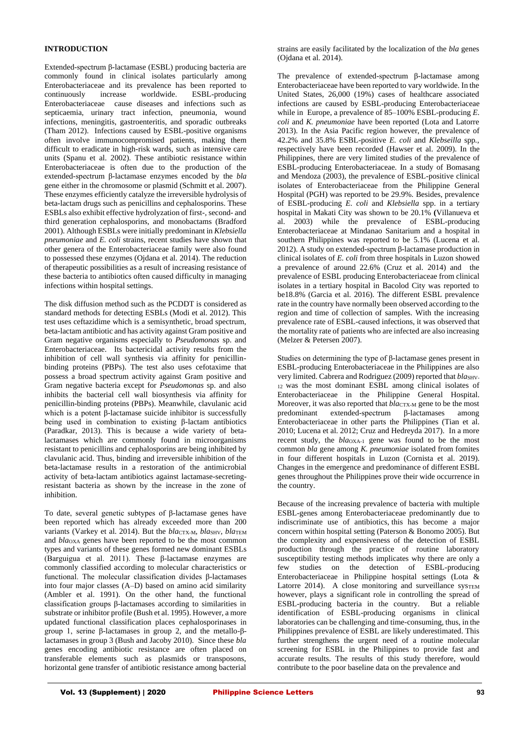## **INTRODUCTION**

Extended-spectrum β-lactamase (ESBL) producing bacteria are commonly found in clinical isolates particularly among Enterobacteriaceae and its prevalence has been reported to continuously increase worldwide. ESBL-producing Enterobacteriaceae cause diseases and infections such as septicaemia, urinary tract infection, pneumonia, wound infections, meningitis, gastroenteritis, and sporadic outbreaks (Tham 2012). Infections caused by ESBL-positive organisms often involve immunocompromised patients, making them difficult to eradicate in high-risk wards, such as intensive care units (Spanu et al. 2002). These antibiotic resistance within Enterobacteriaceae is often due to the production of the extended-spectrum β-lactamase enzymes encoded by the *bla* gene either in the chromosome or plasmid (Schmitt et al. 2007). These enzymes efficiently catalyze the irreversible hydrolysis of beta-lactam drugs such as penicillins and cephalosporins. These ESBLs also exhibit effective hydrolyzation of first-, second- and third generation cephalosporins, and monobactams (Bradford 2001). Although ESBLs were initially predominant in *Klebsiella pneumoniae* and *E. coli* strains, recent studies have shown that other genera of the Enterobacteriaceae family were also found to possessed these enzymes (Ojdana et al. 2014). The reduction of therapeutic possibilities as a result of increasing resistance of these bacteria to antibiotics often caused difficulty in managing infections within hospital settings.

The disk diffusion method such as the PCDDT is considered as standard methods for detecting ESBLs (Modi et al. 2012). This test uses ceftazidime which is a semisynthetic, broad spectrum, beta-lactam antibiotic and has activity against Gram positive and Gram negative organisms especially to *Pseudomonas* sp. and Enterobacteriaceae. Its bactericidal activity results from the inhibition of cell wall synthesis via affinity for penicillinbinding proteins (PBPs). The test also uses cefotaxime that possess a broad spectrum activity against Gram positive and Gram negative bacteria except for *Pseudomonas* sp. and also inhibits the bacterial cell wall biosynthesis via affinity for penicillin-binding proteins (PBPs). Meanwhile, clavulanic acid which is a potent β-lactamase suicide inhibitor is successfully being used in combination to existing β-lactam antibiotics (Paradkar, 2013). This is because a wide variety of betalactamases which are commonly found in microorganisms resistant to penicillins and cephalosporins are being inhibited by clavulanic acid. Thus, binding and irreversible inhibition of the beta-lactamase results in a restoration of the antimicrobial activity of beta-lactam antibiotics against lactamase-secretingresistant bacteria as shown by the increase in the zone of inhibition.

To date, several genetic subtypes of β-lactamase genes have been reported which has already exceeded more than 200 variants (Varkey et al. 2014). But the *blactic*-M, *blashy*, *blaTEM* and *bla*OXA genes have been reported to be the most common types and variants of these genes formed new dominant ESBLs (Barguigua et al. 2011). These β-lactamase enzymes are commonly classified according to molecular characteristics or functional. The molecular classification divides β-lactamases into four major classes (A–D) based on amino acid similarity (Ambler et al. 1991). On the other hand, the functional classification groups β-lactamases according to similarities in substrate or inhibitor profile (Bush et al. 1995). However, a more updated functional classification places cephalosporinases in group 1, serine β-lactamases in group 2, and the metallo-βlactamases in group 3 (Bush and Jacoby 2010). Since these *bla* genes encoding antibiotic resistance are often placed on transferable elements such as plasmids or transposons, horizontal gene transfer of antibiotic resistance among bacterial

strains are easily facilitated by the localization of the *bla* genes (Ojdana et al. 2014).

The prevalence of extended-spectrum β-lactamase among Enterobacteriaceae have been reported to vary worldwide. In the United States, 26,000 (19%) cases of healthcare associated infections are caused by ESBL-producing Enterobacteriaceae while in Europe, a prevalence of 85–100% ESBL-producing *E. coli* and *K. pneumoniae* have been reported (Lota and Latorre 2013). In the Asia Pacific region however, the prevalence of 42.2% and 35.8% ESBL-positive *E. coli* and *Klebseilla* spp*.,*  respectively have been recorded (Hawser et al. 2009)*.* In the Philippines, there are very limited studies of the prevalence of ESBL-producing Enterobacteriaceae*.* In a study of Bomasang and Mendoza (2003), the prevalence of ESBL-positive clinical isolates of Enterobacteriaceae from the Philippine General Hospital (PGH) was reported to be 29.9%. Besides, prevalence of ESBL-producing *E. coli* and *Klebsiella* spp. in a tertiary hospital in Makati City was shown to be 20.1% **(**Villanueva et al. 2003) while the prevalence of ESBL-producing Enterobacteriaceae at Mindanao Sanitarium and a hospital in southern Philippines was reported to be 5.1% (Lucena et al. 2012). A study on extended-spectrum β-lactamase production in clinical isolates of *E. coli* from three hospitals in Luzon showed a prevalence of around 22.6% (Cruz et al. 2014) and the prevalence of ESBL producing Enterobacteriaceae from clinical isolates in a tertiary hospital in Bacolod City was reported to be18.8% (Garcia et al. 2016). The different ESBL prevalence rate in the country have normally been observed according to the region and time of collection of samples. With the increasing prevalence rate of ESBL-caused infections, it was observed that the mortality rate of patients who are infected are also increasing (Melzer & Petersen 2007).

Studies on determining the type of β-lactamase genes present in ESBL-producing Enterobacteriaceae in the Philippines are also very limited. Cabrera and Rodriguez (2009) reported that *blashv*-<sup>12</sup>was the most dominant ESBL among clinical isolates of Enterobacteriaceae in the Philippine General Hospital. Moreover, it was also reported that *bla*CTX-M gene to be the most predominant extended-spectrum β-lactamases among Enterobacteriaceae in other parts the Philippines (Tian et al. 2010; Lucena et al. 2012; Cruz and Hedreyda 2017). In a more recent study, the *bla*OXA-1 gene was found to be the most common *bla* gene among *K. pneumoniae* isolated from fomites in four different hospitals in Luzon (Cornista et al. 2019). Changes in the emergence and predominance of different ESBL genes throughout the Philippines prove their wide occurrence in the country.

Because of the increasing prevalence of bacteria with multiple ESBL-genes among Enterobacteriaceae predominantly due to indiscriminate use of antibiotics, this has become a major concern within hospital setting (Paterson & Bonomo 2005). But the complexity and expensiveness of the detection of ESBL production through the practice of routine laboratory susceptibility testing methods implicates why there are only a few studies on the detection of ESBL-producing Enterobacteriaceae in Philippine hospital settings (Lota & Latorre 2014). A close monitoring and surveillance sysTEM however, plays a significant role in controlling the spread of ESBL-producing bacteria in the country. But a reliable identification of ESBL-producing organisms in clinical laboratories can be challenging and time-consuming, thus, in the Philippines prevalence of ESBL are likely underestimated. This further strengthens the urgent need of a routine molecular screening for ESBL in the Philippines to provide fast and accurate results. The results of this study therefore, would contribute to the poor baseline data on the prevalence and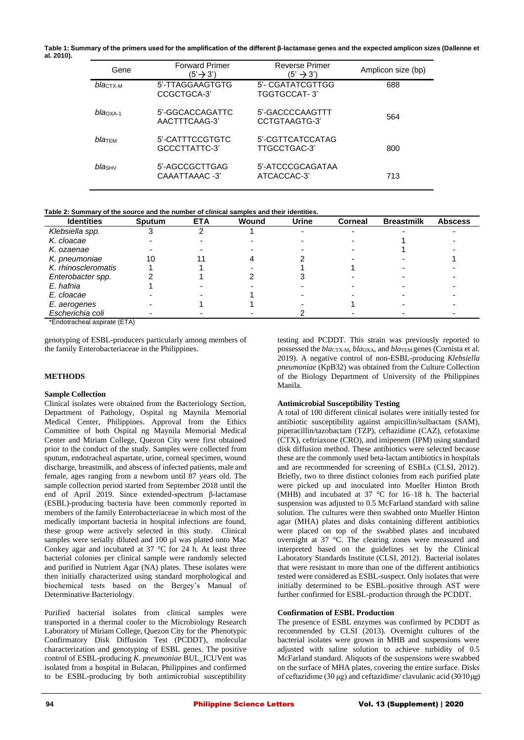**Table 1: Summary of the primers used for the amplification of the different β-lactamase genes and the expected amplicon sizes (Dallenne et al***.* **2010).**

| Gene                | <b>Forward Primer</b><br>(5'→ 3') | <b>Reverse Primer</b><br>$(5' \rightarrow 3')$ | Amplicon size (bp) |
|---------------------|-----------------------------------|------------------------------------------------|--------------------|
| $blactx-M$          | 5'-TTAGGAAGTGTG<br>CCGCTGCA-3     | 5'- CGATATCGTTGG<br>TGGTGCCAT-3'               | 688                |
| $blaOXA-1$          | 5'-GGCACCAGATTC<br>AACTTTCAAG-3'  | 5'-GACCCCAAGTTT<br>CCTGTAAGTG-3                | 564                |
| $bla$ <sub>EM</sub> | 5'-CATTTCCGTGTC<br>GCCCTTATTC-3   | 5'-CGTTCATCCATAG<br>TTGCCTGAC-3'               | 800                |
| bla <sub>SHV</sub>  | 5'-AGCCGCTTGAG<br>CAAATTAAAC -3'  | 5'-ATCCCGCAGATAA<br>ATCACCAC-3'                | 713                |

**Table 2: Summary of the source and the number of clinical samples and their identities.**

| <b>Identities</b>                         | <b>Sputum</b> | <b>ETA</b> | Wound | <b>Urine</b> | <b>Corneal</b> | <b>Breastmilk</b> | <b>Abscess</b> |
|-------------------------------------------|---------------|------------|-------|--------------|----------------|-------------------|----------------|
| Klebsiella spp.                           |               |            |       |              |                |                   |                |
| K. cloacae                                |               |            |       |              |                |                   |                |
| K. ozaenae                                |               |            |       |              |                |                   |                |
| K. pneumoniae                             | 10            |            |       |              |                |                   |                |
| K. rhinoscleromatis                       |               |            |       |              |                |                   |                |
| Enterobacter spp.                         |               |            |       |              |                |                   |                |
| E. hafnia                                 |               |            |       |              |                |                   |                |
| E. cloacae                                |               |            |       |              |                |                   |                |
| E. aerogenes                              |               |            |       |              |                |                   |                |
| Escherichia coli<br>$\sim$ $ \sim$ $\sim$ |               |            |       |              |                |                   |                |

\*Endotracheal aspirate (ETA)

genotyping of ESBL-producers particularly among members of the family Enterobacteriaceae in the Philippines.

## **METHODS**

## **Sample Collection**

Clinical isolates were obtained from the Bacteriology Section, Department of Pathology, Ospital ng Maynila Memorial Medical Center, Philippines. Approval from the Ethics Committee of both Ospital ng Maynila Memorial Medical Center and Miriam College, Quezon City were first obtained prior to the conduct of the study. Samples were collected from sputum, endotracheal aspartate, urine, corneal specimen, wound discharge, breastmilk, and abscess of infected patients, male and female, ages ranging from a newborn until 87 years old. The sample collection period started from September 2018 until the end of April 2019. Since extended-spectrum β-lactamase (ESBL)-producing bacteria have been commonly reported in members of the family Enterobacteriaceae in which most of the medically important bacteria in hospital infections are found, these group were actively selected in this study. Clinical samples were serially diluted and 100 µl was plated onto Mac Conkey agar and incubated at 37 °C for 24 h. At least three bacterial colonies per clinical sample were randomly selected and purified in Nutrient Agar (NA) plates. These isolates were then initially characterized using standard morphological and biochemical tests based on the Bergey's Manual of Determinative Bacteriology.

Purified bacterial isolates from clinical samples were transported in a thermal cooler to the Microbiology Research Laboratory of Miriam College, Quezon City for the Phenotypic Confirmatory Disk Diffusion Test (PCDDT), molecular characterization and genotyping of ESBL genes. The positive control of ESBL-producing *K. pneumoniae* BUL\_ICUVent was isolated from a hospital in Bulacan, Philippines and confirmed to be ESBL-producing by both antimicrobial susceptibility

testing and PCDDT. This strain was previously reported to possessed the *bla*CTX-M*, bla*OXA*,* and *bla*TEM genes (Cornista et al. 2019). A negative control of non-ESBL-producing *Klebsiella pneumoniae* (KpB32) was obtained from the Culture Collection of the Biology Department of University of the Philippines Manila.

## **Antimicrobial Susceptibility Testing**

A total of 100 different clinical isolates were initially tested for antibiotic susceptibility against ampicillin/sulbactam (SAM), piperacillin/tazobactam (TZP), ceftazidime (CAZ), cefotaxime (CTX), ceftriaxone (CRO), and imipenem (IPM) using standard disk diffusion method. These antibiotics were selected because these are the commonly used beta-lactam antibiotics in hospitals and are recommended for screening of ESBLs (CLSI, 2012). Briefly, two to three distinct colonies from each purified plate were picked up and inoculated into Mueller Hinton Broth (MHB) and incubated at 37 °C for 16–18 h. The bacterial suspension was adjusted to 0.5 McFarland standard with saline solution. The cultures were then swabbed onto Mueller Hinton agar (MHA) plates and disks containing different antibiotics were placed on top of the swabbed plates and incubated overnight at 37 °C. The clearing zones were measured and interpreted based on the guidelines set by the Clinical Laboratory Standards Institute (CLSI, 2012). Bacterial isolates that were resistant to more than one of the different antibiotics tested were considered as ESBL-suspect. Only isolates that were initially determined to be ESBL-positive through AST were further confirmed for ESBL-production through the PCDDT.

## **Confirmation of ESBL Production**

The presence of ESBL enzymes was confirmed by PCDDT as recommended by CLSI (2013). Overnight cultures of the bacterial isolates were grown in MHB and suspensions were adjusted with saline solution to achieve turbidity of 0.5 McFarland standard. Aliquots of the suspensions were swabbed on the surface of MHA plates, covering the entire surface. Disks of ceftazidime (30 μg) and ceftazidime/ clavulanic acid (30/10 μg)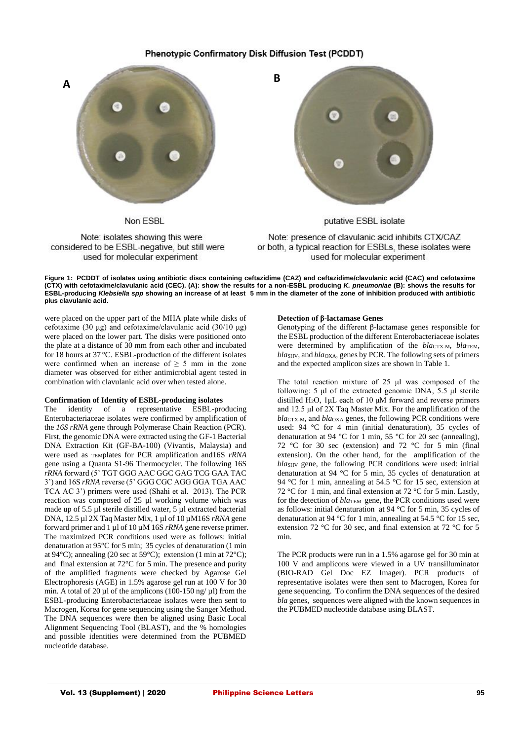## Phenotypic Confirmatory Disk Diffusion Test (PCDDT)



Non ESBL





putative ESBL isolate

Note: presence of clavulanic acid inhibits CTX/CAZ or both, a typical reaction for ESBLs, these isolates were used for molecular experiment

Figure 1: PCDDT of isolates using antibiotic discs containing ceftazidime (CAZ) and ceftazidime/clavulanic acid (CAC) and cefotaxime **(CTX) with cefotaxime/clavulanic acid (CEC). (A): show the results for a non-ESBL producing** *K. pneumoniae* **(B): shows the results for ESBL-producing** *Klebsiella spp* **showing an increase of at least 5 mm in the diameter of the zone of inhibition produced with antibiotic plus clavulanic acid.**

were placed on the upper part of the MHA plate while disks of cefotaxime (30 μg) and cefotaxime/clavulanic acid (30/10 μg) were placed on the lower part. The disks were positioned onto the plate at a distance of  $30 \text{ mm}$  from each other and incubated for 18 hours at 37 °C. ESBL-production of the different isolates were confirmed when an increase of  $\geq$  5 mm in the zone diameter was observed for either antimicrobial agent tested in combination with clavulanic acid over when tested alone.

## **Confirmation of Identity of ESBL-producing isolates**

The identity of a representative ESBL-producing Enterobacteriaceae isolates were confirmed by amplification of the *16S rRNA* gene through Polymerase Chain Reaction (PCR). First, the genomic DNA were extracted using the GF-1 Bacterial DNA Extraction Kit (GF-BA-100) (Vivantis, Malaysia) and were used as TEMplates for PCR amplification and16S *rRNA*  gene using a Quanta S1-96 Thermocycler. The following 16S *rRNA* forward (5' TGT GGG AAC GGC GAG TCG GAA TAC 3') and 16S *rRNA* reverse (5' GGG CGC AGG GGA TGA AAC TCA AC 3') primers were used (Shahi et al. 2013). The PCR reaction was composed of 25 µl working volume which was made up of 5.5 µl sterile distilled water, 5 µl extracted bacterial DNA, 12.5 µl 2X Taq Master Mix, 1 µl of 10 µM16S *rRNA* gene forward primer and 1 µl of 10 µM 16S *rRNA* gene reverse primer. The maximized PCR conditions used were as follows: initial denaturation at 95°C for 5 min; 35 cycles of denaturation (1 min at 94°C); annealing (20 sec at 59°C); extension (1 min at 72°C); and final extension at 72°C for 5 min. The presence and purity of the amplified fragments were checked by Agarose Gel Electrophoresis (AGE) in 1.5% agarose gel run at 100 V for 30 min. A total of 20  $\mu$ l of the amplicons (100-150 ng/ $\mu$ l) from the ESBL-producing Enterobacteriaceae isolates were then sent to Macrogen, Korea for gene sequencing using the Sanger Method. The DNA sequences were then be aligned using Basic Local Alignment Sequencing Tool (BLAST), and the % homologies and possible identities were determined from the PUBMED nucleotide database.

#### **Detection of β-lactamase Genes**

Genotyping of the different β-lactamase genes responsible for the ESBL production of the different Enterobacteriaceae isolates were determined by amplification of the *blacTX-M, blaTEM*, *bla*SHV*,* and *bla*OXA*,* genes by PCR. The following sets of primers and the expected amplicon sizes are shown in Table 1.

The total reaction mixture of 25 μl was composed of the following: 5 μl of the extracted genomic DNA, 5.5 μl sterile distilled H2O, 1μL each of 10 μM forward and reverse primers and 12.5 μl of 2X Taq Master Mix. For the amplification of the *bla*CTX-M*,* and *bla*OXA genes, the following PCR conditions were used: 94 °C for 4 min (initial denaturation), 35 cycles of denaturation at 94 °C for 1 min, 55 °C for 20 sec (annealing), 72 °C for 30 sec (extension) and 72 °C for 5 min (final extension). On the other hand, for the amplification of the *bla*SHV gene, the following PCR conditions were used: initial denaturation at 94 °C for 5 min, 35 cycles of denaturation at 94 °C for 1 min, annealing at 54.5 °C for 15 sec, extension at 72 °C for 1 min, and final extension at 72 °C for 5 min. Lastly, for the detection of *bla*T<sub>EM</sub> gene, the PCR conditions used were as follows: initial denaturation at 94 °C for 5 min, 35 cycles of denaturation at 94 °C for 1 min, annealing at 54.5 °C for 15 sec, extension 72 °C for 30 sec, and final extension at 72 °C for 5 min.

The PCR products were run in a 1.5% agarose gel for 30 min at 100 V and amplicons were viewed in a UV transilluminator (BIO-RAD Gel Doc EZ Imager). PCR products of representative isolates were then sent to Macrogen, Korea for gene sequencing. To confirm the DNA sequences of the desired *bla* genes, sequences were aligned with the known sequences in the PUBMED nucleotide database using BLAST.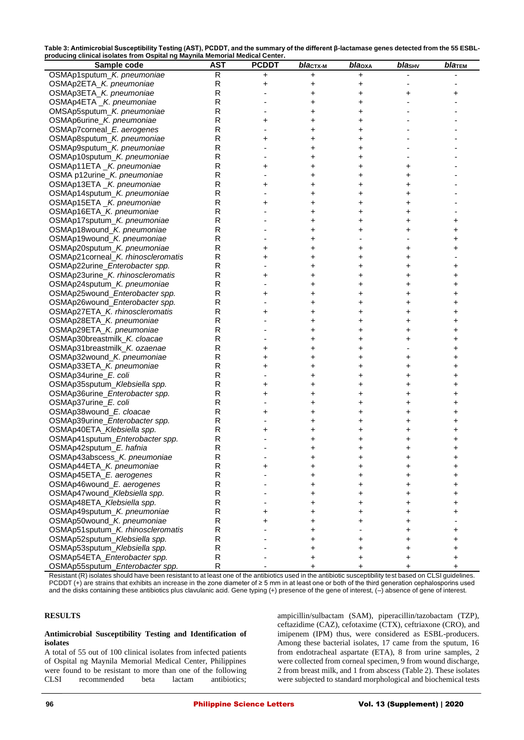| Table 3: Antimicrobial Susceptibility Testing (AST), PCDDT, and the summary of the different $\beta$ -lactamase genes detected from the 55 ESBL- |
|--------------------------------------------------------------------------------------------------------------------------------------------------|
| producing clinical isolates from Ospital ng Maynila Memorial Medical Center.                                                                     |

| Sample code                                                          | <b>AST</b>   | <b>PCDDT</b> | blaст <u>х</u> -м | blaoxa | blasHv    | $bla$ TEM |
|----------------------------------------------------------------------|--------------|--------------|-------------------|--------|-----------|-----------|
| OSMAp1sputum_K. pneumoniae                                           | R            | $\mathbf +$  | +                 | +      |           |           |
| OSMAp2ETA_K. pneumoniae                                              | R            | +            | +                 | +      |           |           |
| OSMAp3ETA_K. pneumoniae                                              | R            |              | +                 | +      | +         | +         |
| OSMAp4ETA _K. pneumoniae                                             | R            |              | +                 | +      |           |           |
| OMSAp5sputum_K. pneumoniae                                           | $\mathsf{R}$ |              | +                 | +      |           |           |
| OSMAp6urine_K. pneumoniae                                            | ${\sf R}$    | +            | +                 | +      |           |           |
| OSMAp7corneal_E. aerogenes                                           | R            |              | +                 | +      |           |           |
| OSMAp8sputum_K. pneumoniae                                           | R            | +            | +                 | +      |           |           |
| OSMAp9sputum_K. pneumoniae                                           | $\mathsf R$  |              | +                 | +      |           |           |
| OSMAp10sputum_K. pneumoniae                                          | $\mathsf{R}$ |              | +                 | +      |           |           |
| OSMAp11ETA _K. pneumoniae                                            | R            | +            | +                 | +      | +         |           |
| OSMA p12urine_K. pneumoniae                                          | R            |              | +                 | +      | +         |           |
| OSMAp13ETA _K. pneumoniae                                            | $\mathsf R$  | +            | +                 | +      |           |           |
| OSMAp14sputum_K. pneumoniae                                          | R            |              | +                 | +      | +         |           |
| OSMAp15ETA _K. pneumoniae                                            | R            | +            | +                 | +      | +         |           |
| OSMAp16ETA_K. pneumoniae                                             | R            |              | +                 | +      |           |           |
| OSMAp17sputum_K. pneumoniae                                          | ${\sf R}$    |              | +                 | +      |           |           |
| OSMAp18wound_K. pneumoniae                                           | R            |              | +                 | +      |           |           |
| OSMAp19wound_K. pneumoniae                                           | R            |              | +                 |        |           |           |
| OSMAp20sputum_K. pneumoniae                                          | $\mathsf{R}$ | +            | +                 | +      |           |           |
|                                                                      | $\mathsf{R}$ |              |                   |        |           | +         |
| OSMAp21corneal_K. rhinoscleromatis<br>OSMAp22urine_Enterobacter spp. | R            | +            | +                 | +      |           |           |
| OSMAp23urine_K. rhinoscleromatis                                     | R            |              | +                 | +      | +         | +         |
| OSMAp24sputum_K. pneumoniae                                          | ${\sf R}$    | +            | +                 | +      | +         | +         |
|                                                                      |              |              | +                 | +      |           | +         |
| OSMAp25wound_Enterobacter spp.                                       | R            | +            | +                 | +      |           | +         |
| OSMAp26wound_Enterobacter spp.                                       | R            |              | +                 | +      | +         | +         |
| OSMAp27ETA_K. rhinoscleromatis                                       | R            | +            | +                 | +      |           | +         |
| OSMAp28ETA_K. pneumoniae                                             | ${\sf R}$    |              | +                 | +      |           | +         |
| OSMAp29ETA_K. pneumoniae                                             | R            |              | +                 | +      |           | +         |
| OSMAp30breastmilk_K. cloacae                                         | R            |              | +                 | +      |           | +         |
| OSMAp31breastmilk_K. ozaenae                                         | $\mathsf{R}$ | +            | +                 | +      |           | +         |
| OSMAp32wound_K. pneumoniae                                           | R            | +            | +                 | +      | +         | +         |
| OSMAp33ETA_K. pneumoniae                                             | R            | +            | +                 | +      |           | +         |
| OSMAp34urine_E. coli                                                 | R            |              | +                 | +      | +         | +         |
| OSMAp35sputum_Klebsiella spp.                                        | ${\sf R}$    | +            | +                 | +      | +         | +         |
| OSMAp36urine_Enterobacter spp.                                       | R            | +            | +                 | +      | +         | +         |
| OSMAp37urine_E. coli                                                 | R            |              | +                 | +      | +         | +         |
| OSMAp38wound_E. cloacae                                              | ${\sf R}$    | +            | +                 | +      |           | +         |
| OSMAp39urine_Enterobacter spp.                                       | R            |              | +                 | +      |           |           |
| OSMAp40ETA_Klebsiella spp.                                           | R            | +            | +                 | +      |           | +         |
| OSMAp41sputum_Enterobacter spp.                                      | R            |              | +                 | +      |           | +         |
| OSMAp42sputum_E. hafnia                                              | R            |              | +                 | +      | +         | +         |
| OSMAp43abscess_K. pneumoniae                                         | R            |              | +                 | +      | +         | +         |
| OSMAp44ETA_K. pneumoniae                                             | ${\sf R}$    | +            | +                 | +      | +         | +         |
| OSMAp45ETA_E. aerogenes                                              | ${\sf R}$    |              | +                 | +      | +         | +         |
| OSMAp46wound_E. aerogenes                                            | ${\sf R}$    |              | +                 | +      | +         | +         |
| OSMAp47wound_Klebsiella spp.                                         | $\mathsf R$  |              | +                 | +      | $\ddot{}$ | $\pmb{+}$ |
| OSMAp48ETA_Klebsiella spp.                                           | ${\sf R}$    |              | +                 | +      | +         | +         |
| OSMAp49sputum_K. pneumoniae                                          | ${\sf R}$    | +            | +                 | +      | +         | +         |
| OSMAp50wound_K. pneumoniae                                           | ${\sf R}$    | +            | +                 | +      |           |           |
| OSMAp51sputum_K. rhinoscleromatis                                    | ${\sf R}$    |              | +                 |        | +         | +         |
| OSMAp52sputum_Klebsiella spp.                                        | ${\sf R}$    |              | $\pmb{+}$         | +      | +         | +         |
| OSMAp53sputum_Klebsiella spp.                                        | ${\sf R}$    |              | +                 | +      | +         | +         |
| OSMAp54ETA_Enterobacter spp.                                         | R            |              | +                 | +      | +         | +         |
| OSMAp55sputum_Enterobacter spp.                                      | R            |              | +                 | +      | $\pmb{+}$ | $\pmb{+}$ |
|                                                                      |              |              |                   |        |           |           |

Resistant (R) isolates should have been resistant to at least one of the antibiotics used in the antibiotic susceptibility test based on CLSI guidelines. PCDDT (+) are strains that exhibits an increase in the zone diameter of ≥ 5 mm in at least one or both of the third generation cephalosporins used and the disks containing these antibiotics plus clavulanic acid. Gene typing (+) presence of the gene of interest, (–) absence of gene of interest.

## **RESULTS**

## **Antimicrobial Susceptibility Testing and Identification of isolates**

A total of 55 out of 100 clinical isolates from infected patients of Ospital ng Maynila Memorial Medical Center, Philippines were found to be resistant to more than one of the following CLSI recommended beta lactam antibiotics;

ampicillin/sulbactam (SAM), piperacillin/tazobactam (TZP), ceftazidime (CAZ), cefotaxime (CTX), ceftriaxone (CRO), and imipenem (IPM) thus, were considered as ESBL-producers. Among these bacterial isolates, 17 came from the sputum, 16 from endotracheal aspartate (ETA), 8 from urine samples, 2 were collected from corneal specimen, 9 from wound discharge, 2 from breast milk, and 1 from abscess (Table 2). These isolates were subjected to standard morphological and biochemical tests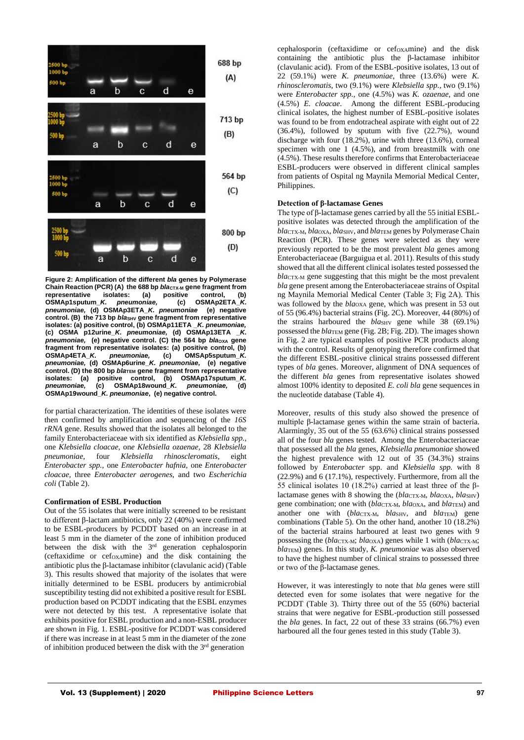

**Figure 2: Amplification of the different** *bla* **genes by Polymerase**  Chain Reaction (PCR) (A) the 688 bp *blacTX-M* gene fragment from **representative isolates: (a) positive control, (b)**   $OSMAP1sputum_K.$  pneumoniae, (c) *pneumoniae,* **(d) OSMAp3ETA\_***K. pneumoniae* **(e) negative**  control. (B) the 713 bp *bla*<sub>SHV</sub> gene fragment from representative **isolates: (a) positive control, (b) OSMAp11ETA \_***K. pneumoniae,* **(c) OSMA p12urine\_***K. pneumoniae,* **(d) OSMAp13ETA \_***K. pneumoniae,* (e) negative control. (C) the 564 bp *bla*<sub>oxa</sub> gene **fragment from representative isolates: (a) positive control, (b) OSMAp4ETA\_***K. pneumoniae,* **(c) OMSAp5sputum\_***K. pneumoniae,* **(d) OSMAp6urine\_***K. pneumoniae,* **(e) negative control. (D) the 800 bp** *bla***rEM gene fragment from representative <br>isolates: (a) positive control, (b) OSMAp17sputum\_K.** isolates: (a) positive control, (b) *pneumoniae,* **(c) OSMAp18wound\_***K. pneumoniae,* **(d) OSMAp19wound\_***K. pneumoniae***, (e) negative control.**

for partial characterization. The identities of these isolates were then confirmed by amplification and sequencing of the *16S rRNA* gene. Results showed that the isolates all belonged to the family Enterobacteriaceae with six identified as *Klebsiella spp.,*  one *Klebsiella cloacae,* on*e Klebsiella ozaenae,* 28 *Klebsiella pneumoniae,* four *Klebsiella rhinoscleromatis,* eight *Enterobacter spp.,* one *Enterobacter hafnia,* one *Enterobacter cloacae,* three *Enterobacter aerogenes,* and two *Escherichia coli* (Table 2).

## **Confirmation of ESBL Production**

Out of the 55 isolates that were initially screened to be resistant to different β-lactam antibiotics, only 22 (40%) were confirmed to be ESBL-producers by PCDDT based on an increase in at least 5 mm in the diameter of the zone of inhibition produced between the disk with the 3<sup>rd</sup> generation cephalosporin (ceftaxidime or cefOXAmine) and the disk containing the antibiotic plus the β-lactamase inhibitor (clavulanic acid) (Table 3). This results showed that majority of the isolates that were initially determined to be ESBL producers by antimicrobial susceptibility testing did not exhibited a positive result for ESBL production based on PCDDT indicating that the ESBL enzymes were not detected by this test. A representative isolate that exhibits positive for ESBL production and a non-ESBL producer are shown in Fig. 1. ESBL-positive for PCDDT was considered if there was increase in at least 5 mm in the diameter of the zone of inhibition produced between the disk with the 3<sup>rd</sup> generation

cephalosporin (ceftaxidime or cefoxamine) and the disk containing the antibiotic plus the β-lactamase inhibitor (clavulanic acid). From of the ESBL-positive isolates, 13 out of 22 (59.1%) were *K. pneumoniae*, three (13.6%) were *K. rhinoscleromatis*, two (9.1%) were *Klebsiella spp*., two (9.1%) were *Enterobacter spp.*, one (4.5%) was *K. ozaenae*, and one (4.5%) *E. cloacae*. Among the different ESBL-producing clinical isolates, the highest number of ESBL-positive isolates was found to be from endotracheal aspirate with eight out of 22 (36.4%), followed by sputum with five (22.7%), wound discharge with four (18.2%), urine with three (13.6%), corneal specimen with one 1 (4.5%), and from breastmilk with one (4.5%). These results therefore confirms that Enterobacteriaceae ESBL-producers were observed in different clinical samples from patients of Ospital ng Maynila Memorial Medical Center, Philippines.

#### **Detection of β-lactamase Genes**

The type of β-lactamase genes carried by all the 55 initial ESBLpositive isolates was detected through the amplification of the *bla*CTX-M, *bla*OXA, *bla*SHV, and *bla*TEM genes by Polymerase Chain Reaction (PCR). These genes were selected as they were previously reported to be the most prevalent *bla* genes among Enterobacteriaceae (Barguigua et al. 2011). Results of this study showed that all the different clinical isolates tested possessed the *bla*<sub>CTX-M</sub> gene suggesting that this might be the most prevalent *bla* gene present among the Enterobacteriaceae strains of Ospital ng Maynila Memorial Medical Center (Table 3; Fig 2A). This was followed by the *bla*<sub>OXA</sub> gene, which was present in 53 out of 55 (96.4%) bacterial strains (Fig. 2C). Moreover, 44 (80%) of the strains harboured the *blasHv* gene while 38 (69.1%) possessed the *bla*TEM gene (Fig. 2B; Fig. 2D). The images shown in Fig. 2 are typical examples of positive PCR products along with the control. Results of genotyping therefore confirmed that the different ESBL-positive clinical strains possessed different types of *bla* genes. Moreover, alignment of DNA sequences of the different *bla* genes from representative isolates showed almost 100% identity to deposited *E. coli bla* gene sequences in the nucleotide database (Table 4).

Moreover, results of this study also showed the presence of multiple β-lactamase genes within the same strain of bacteria. Alarmingly, 35 out of the 55 (63.6%) clinical strains possessed all of the four *bla* genes tested. Among the Enterobacteriaceae that possessed all the *bla* genes, *Klebsiella pneumoniae* showed the highest prevalence with 12 out of 35 (34.3%) strains followed by *Enterobacter* spp. and *Klebsiella spp.* with 8 (22.9%) and 6 (17.1%), respectively. Furthermore, from all the 55 clinical isolates 10 (18.2%) carried at least three of the βlactamase genes with 8 showing the (*blacTX-M*, *blaoXA*, *blasHV*) gene combination; one with (*bla*CTX-M, *bla*OXA, and *bla*TEM) and another one with (*blacTX-M*, *blasHv*, and *blaTEM*) gene combinations (Table 5). On the other hand, another 10 (18.2%) of the bacterial strains harboured at least two genes with 9 possessing the (*bla*CTX-M; *bla*OXA) genes while 1 with (*bla*CTX-M; *bla*TEM) genes. In this study, *K. pneumoniae* was also observed to have the highest number of clinical strains to possessed three or two of the β-lactamase genes.

However, it was interestingly to note that *bla* genes were still detected even for some isolates that were negative for the PCDDT (Table 3). Thirty three out of the 55 (60%) bacterial strains that were negative for ESBL-production still possessed the *bla* genes. In fact, 22 out of these 33 strains (66.7%) even harboured all the four genes tested in this study (Table 3).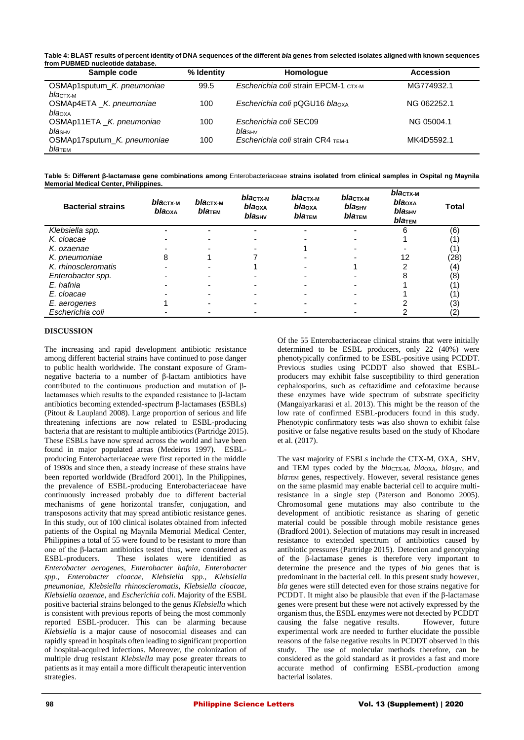**Table 4: BLAST results of percent identity of DNA sequences of the different** *bla* **genes from selected isolates aligned with known sequences from PUBMED nucleotide database.**

| Sample code                                       | % Identity | Homologue                                | <b>Accession</b> |
|---------------------------------------------------|------------|------------------------------------------|------------------|
| OSMAp1sputum K. pneumoniae<br>blactx-M            | 99.5       | Escherichia coli strain EPCM-1 CTX-M     | MG774932.1       |
| OSMAp4ETA _K. pneumoniae<br>blaoxa                | 100        | Escherichia coli pQGU16 blaoxA           | NG 062252.1      |
| OSMAp11ETA _K. pneumoniae<br>bla <sub>SHV</sub>   | 100        | Escherichia coli SEC09<br><i>bla</i> sнv | NG 05004.1       |
| OSMAp17sputum K. pneumoniae<br>blaт <sub>EM</sub> | 100        | Escherichia coli strain CR4 TEM-1        | MK4D5592.1       |

**Table 5: Different β-lactamase gene combinations among** Enterobacteriaceae **strains isolated from clinical samples in Ospital ng Maynila Memorial Medical Center, Philippines.**

| <b>Bacterial strains</b> | $blaCTX-M$<br>blaoxa | <i>bla</i> стх-м<br>blatem | <i>bla</i> стх-м<br>bla <sub>oxa</sub><br>blashy | $blaCTX-M$<br>bla <sub>oxa</sub><br>blaTEM | bla <sub>стх-м</sub><br>blas <sub>HV</sub><br>blaтем | <i>bla</i> стх-м<br>bla <sub>OXA</sub><br>blas <sub>HV</sub><br>$bla$ TEM | Total |
|--------------------------|----------------------|----------------------------|--------------------------------------------------|--------------------------------------------|------------------------------------------------------|---------------------------------------------------------------------------|-------|
| Klebsiella spp.          |                      |                            |                                                  |                                            |                                                      | 6                                                                         | (6)   |
| K. cloacae               |                      |                            |                                                  |                                            |                                                      |                                                                           | 11    |
| K. ozaenae               |                      |                            |                                                  |                                            |                                                      |                                                                           | (1)   |
| K. pneumoniae            | 8                    |                            |                                                  |                                            |                                                      | 12                                                                        | (28)  |
| K. rhinoscleromatis      |                      |                            |                                                  |                                            |                                                      |                                                                           | (4)   |
| Enterobacter spp.        |                      |                            |                                                  |                                            |                                                      |                                                                           | (8)   |
| E. hafnia                |                      |                            |                                                  |                                            |                                                      |                                                                           | 11    |
| E. cloacae               |                      |                            |                                                  |                                            |                                                      |                                                                           | 11    |
| E. aerogenes             |                      |                            |                                                  |                                            |                                                      |                                                                           | (3)   |
| Escherichia coli         |                      |                            |                                                  |                                            |                                                      |                                                                           | (2)   |

## **DISCUSSION**

The increasing and rapid development antibiotic resistance among different bacterial strains have continued to pose danger to public health worldwide. The constant exposure of Gramnegative bacteria to a number of β-lactam antibiotics have contributed to the continuous production and mutation of βlactamases which results to the expanded resistance to β-lactam antibiotics becoming extended-spectrum β-lactamases (ESBLs) (Pitout & Laupland 2008). Large proportion of serious and life threatening infections are now related to ESBL-producing bacteria that are resistant to multiple antibiotics (Partridge 2015). These ESBLs have now spread across the world and have been found in major populated areas (Medeiros 1997). ESBLproducing Enterobacteriaceae were first reported in the middle of 1980s and since then, a steady increase of these strains have been reported worldwide (Bradford 2001). In the Philippines, the prevalence of ESBL-producing Enterobacteriaceae have continuously increased probably due to different bacterial mechanisms of gene horizontal transfer, conjugation, and transposons activity that may spread antibiotic resistance genes. In this study, out of 100 clinical isolates obtained from infected patients of the Ospital ng Maynila Memorial Medical Center, Philippines a total of 55 were found to be resistant to more than one of the β-lactam antibiotics tested thus, were considered as ESBL-producers. These isolates were identified as *Enterobacter aerogenes*, *Enterobacter hafnia*, *Enterobacter spp.*, *Enterobacter cloacae*, *Klebsiella spp.*, *Klebsiella pneumoniae*, *Klebsiella rhinoscleromatis*, *Klebsiella cloacae*, *Klebsiella ozaenae*, and *Escherichia coli*. Majority of the ESBL positive bacterial strains belonged to the genus *Klebsiella* which is consistent with previous reports of being the most commonly reported ESBL-producer. This can be alarming because *Klebsiella* is a major cause of nosocomial diseases and can rapidly spread in hospitals often leading to significant proportion of hospital-acquired infections. Moreover, the colonization of multiple drug resistant *Klebsiella* may pose greater threats to patients as it may entail a more difficult therapeutic intervention strategies.

Of the 55 Enterobacteriaceae clinical strains that were initially determined to be ESBL producers, only 22 (40%) were phenotypically confirmed to be ESBL-positive using PCDDT. Previous studies using PCDDT also showed that ESBLproducers may exhibit false susceptibility to third generation cephalosporins, such as ceftazidime and cefotaxime because these enzymes have wide spectrum of substrate specificity (Mangaiyarkarasi et al. 2013). This might be the reason of the low rate of confirmed ESBL-producers found in this study. Phenotypic confirmatory tests was also shown to exhibit false positive or false negative results based on the study of Khodare et al. (2017).

The vast majority of ESBLs include the CTX-M, OXA, SHV, and TEM types coded by the *bla*CTX-M, *bla*<sub>OXA</sub>, *bla*<sub>SHV</sub>, and *bla*TEM genes, respectively. However, several resistance genes on the same plasmid may enable bacterial cell to acquire multiresistance in a single step (Paterson and Bonomo 2005). Chromosomal gene mutations may also contribute to the development of antibiotic resistance as sharing of genetic material could be possible through mobile resistance genes (Bradford 2001). Selection of mutations may result in increased resistance to extended spectrum of antibiotics caused by antibiotic pressures (Partridge 2015). Detection and genotyping of the β-lactamase genes is therefore very important to determine the presence and the types of *bla* genes that is predominant in the bacterial cell. In this present study however, *bla* genes were still detected even for those strains negative for PCDDT. It might also be plausible that even if the β-lactamase genes were present but these were not actively expressed by the organism thus, the ESBL enzymes were not detected by PCDDT causing the false negative results. However, future experimental work are needed to further elucidate the possible reasons of the false negative results in PCDDT observed in this study. The use of molecular methods therefore, can be considered as the gold standard as it provides a fast and more accurate method of confirming ESBL-production among bacterial isolates.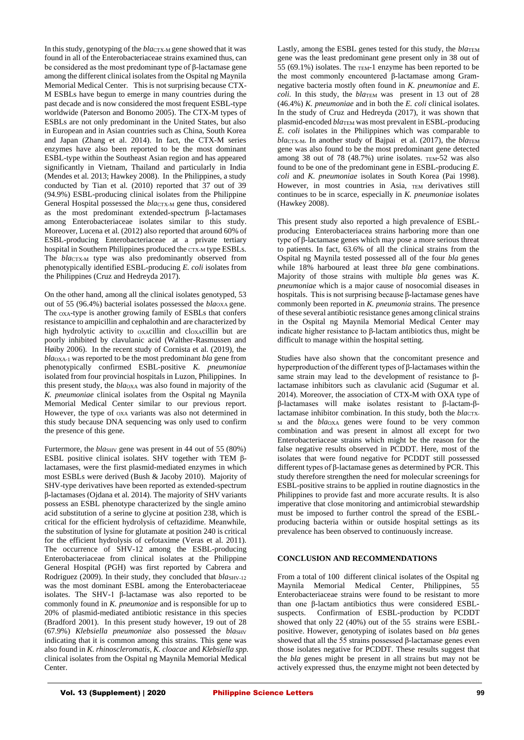In this study, genotyping of the *blacTX-M* gene showed that it was found in all of the Enterobacteriaceae strains examined thus, can be considered as the most predominant type of β-lactamase gene among the different clinical isolates from the Ospital ng Maynila Memorial Medical Center. This is not surprising because CTX-M ESBLs have begun to emerge in many countries during the past decade and is now considered the most frequent ESBL-type worldwide (Paterson and Bonomo 2005). The CTX-M types of ESBLs are not only predominant in the United States, but also in European and in Asian countries such as China, South Korea and Japan (Zhang et al. 2014). In fact, the CTX-M series enzymes have also been reported to be the most dominant ESBL-type within the Southeast Asian region and has appeared significantly in Vietnam, Thailand and particularly in India (Mendes et al*.* 2013; Hawkey 2008). In the Philippines, a study conducted by Tian et al*.* (2010) reported that 37 out of 39 (94.9%) ESBL-producing clinical isolates from the Philippine General Hospital possessed the *blacTX-M* gene thus, considered as the most predominant extended-spectrum β-lactamases among Enterobacteriaceae isolates similar to this study. Moreover, Lucena et al*.* (2012) also reported that around 60% of ESBL-producing Enterobacteriaceae at a private tertiary hospital in Southern Philippines produced the CTX-M type ESBLs. The *blacTX-M* type was also predominantly observed from phenotypically identified ESBL-producing *E. coli* isolates from the Philippines (Cruz and Hedreyda 2017).

On the other hand, among all the clinical isolates genotyped, 53 out of 55 (96.4%) bacterial isolates possessed the *bla*<sub>OXA</sub> gene. The OXA-type is another growing family of ESBLs that confers resistance to ampicillin and cephalothin and are characterized by high hydrolytic activity to oxacillin and cloxacillin but are poorly inhibited by clavulanic acid (Walther-Rasmussen and Høiby 2006). In the recent study of Cornista et al. (2019), the *bla*OXA-1 was reported to be the most predominant *bla* gene from phenotypically confirmed ESBL-positive *K. pneumoniae*  isolated from four provincial hospitals in Luzon, Philippines. In this present study, the *bla*OXA was also found in majority of the *K. pneumoniae* clinical isolates from the Ospital ng Maynila Memorial Medical Center similar to our previous report. However, the type of OXA variants was also not determined in this study because DNA sequencing was only used to confirm the presence of this gene.

Furtermore, the *blas<sub>HV</sub>* gene was present in 44 out of 55 (80%) ESBL positive clinical isolates. SHV together with TEM βlactamases, were the first plasmid-mediated enzymes in which most ESBLs were derived (Bush & Jacoby 2010). Majority of SHV-type derivatives have been reported as extended-spectrum β-lactamases (Ojdana et al*.* 2014). The majority of SHV variants possess an ESBL phenotype characterized by the single amino acid substitution of a serine to glycine at position 238, which is critical for the efficient hydrolysis of ceftazidime. Meanwhile, the substitution of lysine for glutamate at position 240 is critical for the efficient hydrolysis of cefotaxime (Veras et al. 2011). The occurrence of SHV-12 among the ESBL-producing Enterobacteriaceae from clinical isolates at the Philippine General Hospital (PGH) was first reported by Cabrera and Rodriguez (2009). In their study, they concluded that *bla*SHV-12 was the most dominant ESBL among the Enterobacteriaceae isolates. The SHV-1 β-lactamase was also reported to be commonly found in *K. pneumoniae* and is responsible for up to 20% of plasmid-mediated antibiotic resistance in this species (Bradford 2001). In this present study however, 19 out of 28 (67.9%) *Klebsiella pneumoniae* also possessed the *bla*SHV indicating that it is common among this strains. This gene was also found in *K. rhinoscleromatis, K. cloacae* and *Klebsiella spp.*  clinical isolates from the Ospital ng Maynila Memorial Medical Center.

Lastly, among the ESBL genes tested for this study, the *bla*TEM gene was the least predominant gene present only in 38 out of 55  $(69.1\%)$  isolates. The TEM-1 enzyme has been reported to be the most commonly encountered β-lactamase among Gramnegative bacteria mostly often found in *K. pneumoniae* and *E. coli.* In this study, the *bla*TEM was present in 13 out of 28 (46.4%) *K. pneumoniae* and in both the *E. coli* clinical isolates. In the study of Cruz and Hedreyda (2017), it was shown that plasmid-encoded *bla*TEM was most prevalent in ESBL-producing *E. coli* isolates in the Philippines which was comparable to *bla*CTX-M. In another study of Bajpai et al. (2017), the *bla*TEM gene was also found to be the most predominant gene detected among 38 out of 78 (48.7%) urine isolates.  $TEM-52$  was also found to be one of the predominant gene in ESBL-producing *E. coli* and *K. pneumoniae* isolates in South Korea (Pai 1998). However, in most countries in Asia, TEM derivatives still continues to be in scarce, especially in *K. pneumoniae* isolates (Hawkey 2008).

This present study also reported a high prevalence of ESBLproducing Enterobacteriacea strains harboring more than one type of β-lactamase genes which may pose a more serious threat to patients. In fact, 63.6% of all the clinical strains from the Ospital ng Maynila tested possessed all of the four *bla* genes while 18% harboured at least three *bla* gene combinations. Majority of those strains with multiple *bla* genes was *K. pneumoniae* which is a major cause of nosocomial diseases in hospitals. This is not surprising because β-lactamase genes have commonly been reported in *K. pneumonia* strains. The presence of these several antibiotic resistance genes among clinical strains in the Ospital ng Maynila Memorial Medical Center may indicate higher resistance to β-lactam antibiotics thus, might be difficult to manage within the hospital setting.

Studies have also shown that the concomitant presence and hyperproduction of the different types of β-lactamases within the same strain may lead to the development of resistance to βlactamase inhibitors such as clavulanic acid (Sugumar et al*.* 2014). Moreover, the association of CTX-M with OXA type of β-lactamases will make isolates resistant to β-lactam-βlactamase inhibitor combination. In this study, both the *blac*tx-<sup>M</sup> and the *bla*OXA genes were found to be very common combination and was present in almost all except for two Enterobacteriaceae strains which might be the reason for the false negative results observed in PCDDT. Here, most of the isolates that were found negative for PCDDT still possessed different types of β-lactamase genes as determined by PCR. This study therefore strengthen the need for molecular screenings for ESBL-positive strains to be applied in routine diagnostics in the Philippines to provide fast and more accurate results. It is also imperative that close monitoring and antimicrobial stewardship must be imposed to further control the spread of the ESBLproducing bacteria within or outside hospital settings as its prevalence has been observed to continuously increase.

## **CONCLUSION AND RECOMMENDATIONS**

From a total of 100 different clinical isolates of the Ospital ng Maynila Memorial Medical Center, Philippines, 55 Enterobacteriaceae strains were found to be resistant to more than one β-lactam antibiotics thus were considered ESBLsuspects. Confirmation of ESBL-production by PCDDT showed that only 22 (40%) out of the 55 strains were ESBLpositive. However, genotyping of isolates based on *bla* genes showed that all the 55 strains possessed β-lactamase genes even those isolates negative for PCDDT. These results suggest that the *bla* genes might be present in all strains but may not be actively expressed thus, the enzyme might not been detected by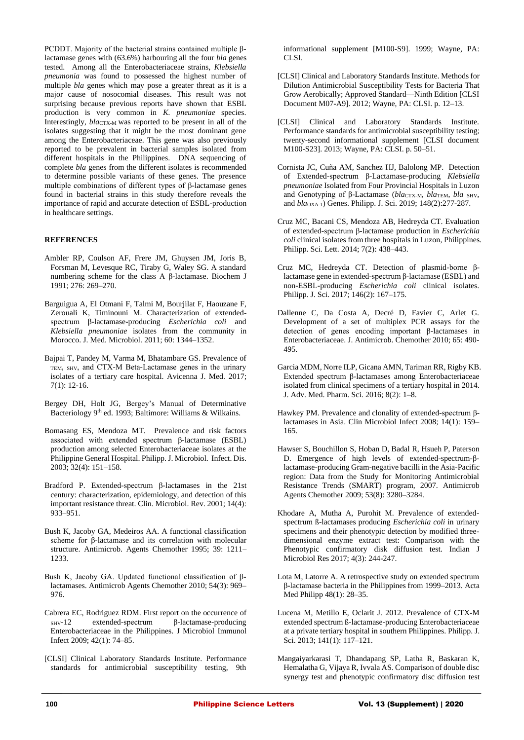PCDDT. Majority of the bacterial strains contained multiple βlactamase genes with (63.6%) harbouring all the four *bla* genes tested. Among all the Enterobacteriaceae strains, *Klebsiella pneumonia* was found to possessed the highest number of multiple *bla* genes which may pose a greater threat as it is a major cause of nosocomial diseases. This result was not surprising because previous reports have shown that ESBL production is very common in *K. pneumoniae* species. Interestingly, *blact*<sub>N</sub> was reported to be present in all of the isolates suggesting that it might be the most dominant gene among the Enterobacteriaceae. This gene was also previously reported to be prevalent in bacterial samples isolated from different hospitals in the Philippines. DNA sequencing of complete *bla* genes from the different isolates is recommended to determine possible variants of these genes. The presence multiple combinations of different types of β-lactamase genes found in bacterial strains in this study therefore reveals the importance of rapid and accurate detection of ESBL-production in healthcare settings.

## **REFERENCES**

- Ambler RP, Coulson AF, Frere JM, Ghuysen JM, Joris B, Forsman M, Levesque RC, Tiraby G, Waley SG. A standard numbering scheme for the class A β-lactamase. Biochem J 1991; 276: 269–270.
- Barguigua A, El Otmani F, Talmi M, Bourjilat F, Haouzane F, Zerouali K, Timinouni M. Characterization of extendedspectrum β-lactamase-producing *Escherichia coli* and *Klebsiella pneumoniae* isolates from the community in Morocco. J. Med. Microbiol. 2011; 60: 1344–1352.
- Bajpai T, Pandey M, Varma M, Bhatambare GS. Prevalence of TEM, SHV, and CTX-M Beta-Lactamase genes in the urinary isolates of a tertiary care hospital. Avicenna J. Med. 2017; 7(1): 12-16.
- Bergey DH, Holt JG, Bergey's Manual of Determinative Bacteriology 9<sup>th</sup> ed. 1993; Baltimore: Williams & Wilkains.
- Bomasang ES, Mendoza MT. Prevalence and risk factors associated with extended spectrum β-lactamase (ESBL) production among selected Enterobacteriaceae isolates at the Philippine General Hospital. Philipp. J. Microbiol. Infect. Dis. 2003; 32(4): 151–158.
- Bradford P. Extended-spectrum β-lactamases in the 21st century: characterization, epidemiology, and detection of this important resistance threat. Clin. Microbiol. Rev. 2001; 14(4): 933–951.
- Bush K, Jacoby GA, Medeiros AA. A functional classification scheme for β-lactamase and its correlation with molecular structure. Antimicrob. Agents Chemother 1995; 39: 1211– 1233.
- Bush K, Jacoby GA. Updated functional classification of βlactamases. Antimicrob Agents Chemother 2010; 54(3): 969– 976.
- Cabrera EC, Rodriguez RDM. First report on the occurrence of<br>suv-12 extended-spectrum  $\beta$ -lactamase-producing SHV-12 extended-spectrum β-lactamase-producing Enterobacteriaceae in the Philippines. J Microbiol Immunol Infect 2009; 42(1): 74–85.
- [CLSI] Clinical Laboratory Standards Institute. Performance standards for antimicrobial susceptibility testing, 9th

informational supplement [M100-S9]. 1999; Wayne, PA: CLSI.

- [CLSI] Clinical and Laboratory Standards Institute. Methods for Dilution Antimicrobial Susceptibility Tests for Bacteria That Grow Aerobically; Approved Standard—Ninth Edition [CLSI Document M07-A9]. 2012; Wayne, PA: CLSI. p. 12–13.
- [CLSI] Clinical and Laboratory Standards Institute. Performance standards for antimicrobial susceptibility testing; twenty-second informational supplement [CLSI document M100-S23]. 2013; Wayne, PA: CLSI. p. 50–51.
- Cornista JC, Cuña AM, Sanchez HJ, Balolong MP. Detection of Extended-spectrum β-Lactamase-producing *Klebsiella pneumoniae* Isolated from Four Provincial Hospitals in Luzon and Genotyping of β-Lactamase (*bla*CTX-M, *bla*TEM, *bla* SHV, and *bla*OXA-1) Genes. Philipp. J. Sci. 2019; 148(2):277-287.
- Cruz MC, Bacani CS, Mendoza AB, Hedreyda CT. Evaluation of extended-spectrum β-lactamase production in *Escherichia coli* clinical isolates from three hospitals in Luzon, Philippines. Philipp. Sci. Lett. 2014; 7(2): 438–443.
- Cruz MC, Hedreyda CT. Detection of plasmid-borne βlactamase gene in extended-spectrum β-lactamase (ESBL) and non-ESBL-producing *Escherichia coli* clinical isolates. Philipp. J. Sci. 2017; 146(2): 167–175.
- Dallenne C, Da Costa A, Decré D, Favier C, Arlet G. Development of a set of multiplex PCR assays for the detection of genes encoding important β-lactamases in Enterobacteriaceae. J. Antimicrob. Chemother 2010; 65: 490- 495.
- Garcia MDM, Norre ILP, Gicana AMN, Tariman RR, Rigby KB. Extended spectrum β-lactamases among Enterobacteriaceae isolated from clinical specimens of a tertiary hospital in 2014. J. Adv. Med. Pharm. Sci. 2016; 8(2): 1–8.
- Hawkey PM. Prevalence and clonality of extended-spectrum βlactamases in Asia. Clin Microbiol Infect 2008; 14(1): 159– 165.
- Hawser S, Bouchillon S, Hoban D, Badal R, Hsueh P, Paterson D. Emergence of high levels of extended-spectrum-βlactamase-producing Gram-negative bacilli in the Asia-Pacific region: Data from the Study for Monitoring Antimicrobial Resistance Trends (SMART) program, 2007. Antimicrob Agents Chemother 2009; 53(8): 3280–3284.
- Khodare A, Mutha A, Purohit M. Prevalence of extendedspectrum ß-lactamases producing *Escherichia coli* in urinary specimens and their phenotypic detection by modified threedimensional enzyme extract test: Comparison with the Phenotypic confirmatory disk diffusion test. Indian J Microbiol Res 2017; 4(3): 244-247.
- Lota M, Latorre A. A retrospective study on extended spectrum β-lactamase bacteria in the Philippines from 1999–2013. Acta Med Philipp 48(1): 28–35.
- Lucena M, Metillo E, Oclarit J. 2012. Prevalence of CTX-M extended spectrum ß-lactamase-producing Enterobacteriaceae at a private tertiary hospital in southern Philippines. Philipp. J. Sci. 2013; 141(1): 117–121.
- Mangaiyarkarasi T, Dhandapang SP, Latha R, Baskaran K, Hemalatha G, Vijaya R, Ivvala AS. Comparison of double disc synergy test and phenotypic confirmatory disc diffusion test